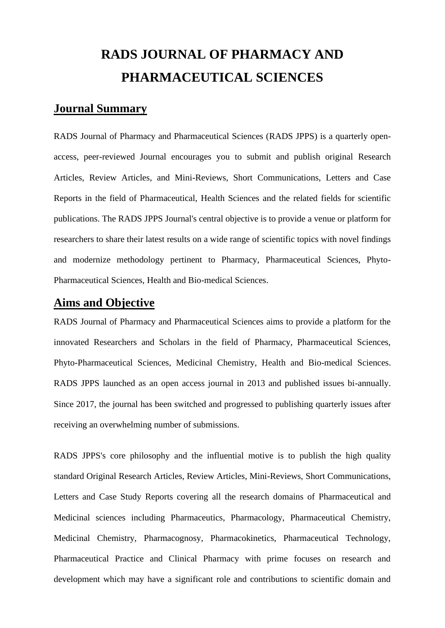# **RADS JOURNAL OF PHARMACY AND PHARMACEUTICAL SCIENCES**

### **Journal Summary**

RADS Journal of Pharmacy and Pharmaceutical Sciences (RADS JPPS) is a quarterly openaccess, peer-reviewed Journal encourages you to submit and publish original Research Articles, Review Articles, and Mini-Reviews, Short Communications, Letters and Case Reports in the field of Pharmaceutical, Health Sciences and the related fields for scientific publications. The RADS JPPS Journal's central objective is to provide a venue or platform for researchers to share their latest results on a wide range of scientific topics with novel findings and modernize methodology pertinent to Pharmacy, Pharmaceutical Sciences, Phyto-Pharmaceutical Sciences, Health and Bio-medical Sciences.

### **Aims and Objective**

RADS Journal of Pharmacy and Pharmaceutical Sciences aims to provide a platform for the innovated Researchers and Scholars in the field of Pharmacy, Pharmaceutical Sciences, Phyto-Pharmaceutical Sciences, Medicinal Chemistry, Health and Bio-medical Sciences. RADS JPPS launched as an open access journal in 2013 and published issues bi-annually. Since 2017, the journal has been switched and progressed to publishing quarterly issues after receiving an overwhelming number of submissions.

RADS JPPS's core philosophy and the influential motive is to publish the high quality standard Original Research Articles, Review Articles, Mini-Reviews, Short Communications, Letters and Case Study Reports covering all the research domains of Pharmaceutical and Medicinal sciences including Pharmaceutics, Pharmacology, Pharmaceutical Chemistry, Medicinal Chemistry, Pharmacognosy, Pharmacokinetics, Pharmaceutical Technology, Pharmaceutical Practice and Clinical Pharmacy with prime focuses on research and development which may have a significant role and contributions to scientific domain and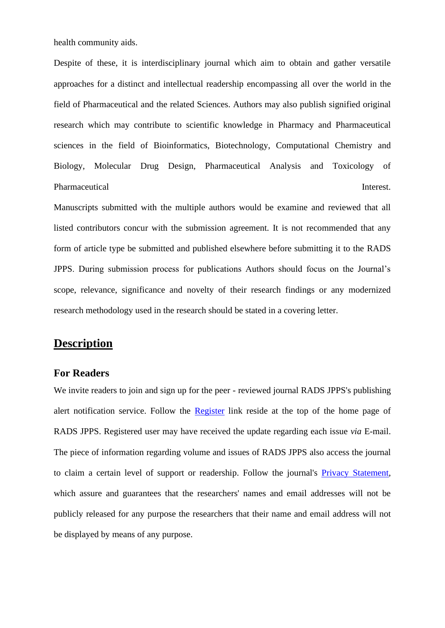health community aids.

Despite of these, it is interdisciplinary journal which aim to obtain and gather versatile approaches for a distinct and intellectual readership encompassing all over the world in the field of Pharmaceutical and the related Sciences. Authors may also publish signified original research which may contribute to scientific knowledge in Pharmacy and Pharmaceutical sciences in the field of Bioinformatics, Biotechnology, Computational Chemistry and Biology, Molecular Drug Design, Pharmaceutical Analysis and Toxicology of Pharmaceutical Interest.

Manuscripts submitted with the multiple authors would be examine and reviewed that all listed contributors concur with the submission agreement. It is not recommended that any form of article type be submitted and published elsewhere before submitting it to the RADS JPPS. During submission process for publications Authors should focus on the Journal's scope, relevance, significance and novelty of their research findings or any modernized research methodology used in the research should be stated in a covering letter.

### **Description**

#### **For Readers**

We invite readers to join and sign up for the peer - reviewed journal RADS JPPS's publishing alert notification service. Follow the [Register](http://jpps.juw.edu.pk/index.php/jpps/user/register) link reside at the top of the home page of RADS JPPS. Registered user may have received the update regarding each issue *via* E-mail. The piece of information regarding volume and issues of RADS JPPS also access the journal to claim a certain level of support or readership. Follow the journal's [Privacy Statement,](http://jpps.juw.edu.pk/index.php/jpps/about/submissions#privacyStatement) which assure and guarantees that the researchers' names and email addresses will not be publicly released for any purpose the researchers that their name and email address will not be displayed by means of any purpose.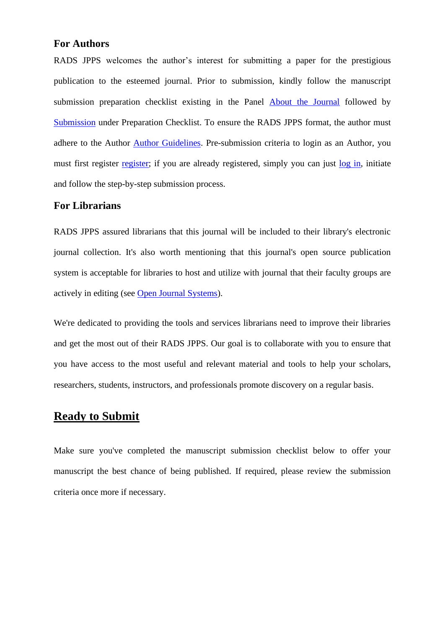### **For Authors**

RADS JPPS welcomes the author's interest for submitting a paper for the prestigious publication to the esteemed journal. Prior to submission, kindly follow the manuscript submission preparation checklist existing in the Panel [About the Journal](http://jpps.juw.edu.pk/index.php/jpps/about) followed by [Submission](http://jpps.juw.edu.pk/index.php/jpps/about/submissions) under Preparation Checklist. To ensure the RADS JPPS format, the author must adhere to the Author [Author Guidelines.](http://jpps.juw.edu.pk/index.php/jpps/author-guidelines) Pre-submission criteria to login as an Author, you must first register [register;](http://jpps.juw.edu.pk/index.php/jpps/user/register) if you are already registered, simply you can just [log in,](http://jpps.juw.edu.pk/index.php/index/login) initiate and follow the step-by-step submission process.

#### **For Librarians**

RADS JPPS assured librarians that this journal will be included to their library's electronic journal collection. It's also worth mentioning that this journal's open source publication system is acceptable for libraries to host and utilize with journal that their faculty groups are actively in editing (see [Open Journal Systems\)](http://pkp.sfu.ca/ojs).

We're dedicated to providing the tools and services librarians need to improve their libraries and get the most out of their RADS JPPS. Our goal is to collaborate with you to ensure that you have access to the most useful and relevant material and tools to help your scholars, researchers, students, instructors, and professionals promote discovery on a regular basis.

### **Ready to Submit**

Make sure you've completed the manuscript submission checklist below to offer your manuscript the best chance of being published. If required, please review the submission criteria once more if necessary.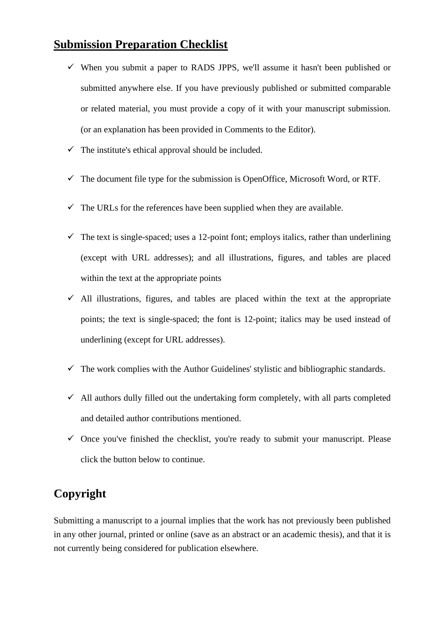### **Submission Preparation Checklist**

- $\checkmark$  When you submit a paper to RADS JPPS, we'll assume it hasn't been published or submitted anywhere else. If you have previously published or submitted comparable or related material, you must provide a copy of it with your manuscript submission. (or an explanation has been provided in Comments to the Editor).
- $\checkmark$  The institute's ethical approval should be included.
- $\checkmark$  The document file type for the submission is OpenOffice, Microsoft Word, or RTF.
- $\checkmark$  The URLs for the references have been supplied when they are available.
- $\checkmark$  The text is single-spaced; uses a 12-point font; employs italics, rather than underlining (except with URL addresses); and all illustrations, figures, and tables are placed within the text at the appropriate points
- $\checkmark$  All illustrations, figures, and tables are placed within the text at the appropriate points; the text is single-spaced; the font is 12-point; italics may be used instead of underlining (except for URL addresses).
- $\checkmark$  The work complies with the Author Guidelines' stylistic and bibliographic standards.
- $\checkmark$  All authors dully filled out the undertaking form completely, with all parts completed and detailed author contributions mentioned.
- $\checkmark$  Once you've finished the checklist, you're ready to submit your manuscript. Please click the button below to continue.

# **Copyright**

Submitting a manuscript to a journal implies that the work has not previously been published in any other journal, printed or online (save as an abstract or an academic thesis), and that it is not currently being considered for publication elsewhere.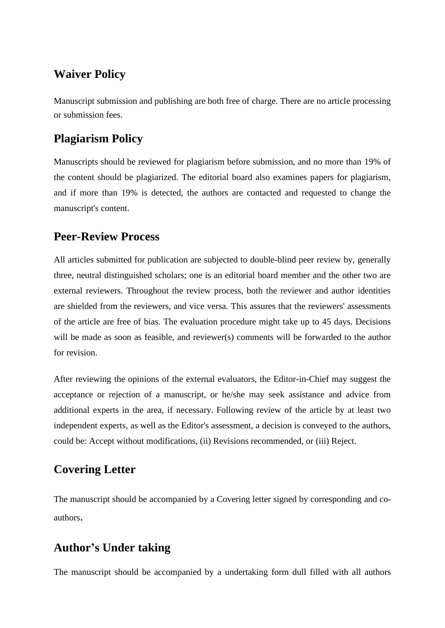# **Waiver Policy**

Manuscript submission and publishing are both free of charge. There are no article processing or submission fees.

# **Plagiarism Policy**

Manuscripts should be reviewed for plagiarism before submission, and no more than 19% of the content should be plagiarized. The editorial board also examines papers for plagiarism, and if more than 19% is detected, the authors are contacted and requested to change the manuscript's content.

### **Peer-Review Process**

All articles submitted for publication are subjected to double-blind peer review by, generally three, neutral distinguished scholars; one is an editorial board member and the other two are external reviewers. Throughout the review process, both the reviewer and author identities are shielded from the reviewers, and vice versa. This assures that the reviewers' assessments of the article are free of bias. The evaluation procedure might take up to 45 days. Decisions will be made as soon as feasible, and reviewer(s) comments will be forwarded to the author for revision.

After reviewing the opinions of the external evaluators, the Editor-in-Chief may suggest the acceptance or rejection of a manuscript, or he/she may seek assistance and advice from additional experts in the area, if necessary. Following review of the article by at least two independent experts, as well as the Editor's assessment, a decision is conveyed to the authors, could be: Accept without modifications, (ii) Revisions recommended, or (iii) Reject.

# **Covering Letter**

The manuscript should be accompanied by a Covering letter signed by corresponding and coauthors.

# **Author's Under taking**

The manuscript should be accompanied by a undertaking form dull filled with all authors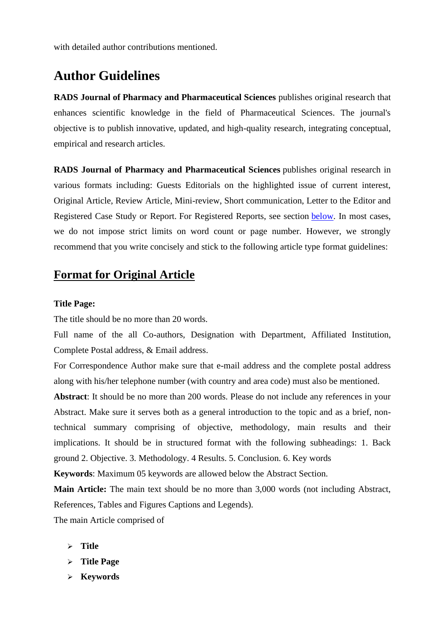with detailed author contributions mentioned.

# **Author Guidelines**

**RADS Journal of Pharmacy and Pharmaceutical Sciences** publishes original research that enhances scientific knowledge in the field of Pharmaceutical Sciences. The journal's objective is to publish innovative, updated, and high-quality research, integrating conceptual, empirical and research articles.

**RADS Journal of Pharmacy and Pharmaceutical Sciences** publishes original research in various formats including: Guests Editorials on the highlighted issue of current interest, Original Article, Review Article, Mini-review, Short communication, Letter to the Editor and Registered Case Study or Report. For Registered Reports, see section [below.](https://www.nature.com/srep/author-instructions/submission-guidelines#registeredreports) In most cases, we do not impose strict limits on word count or page number. However, we strongly recommend that you write concisely and stick to the following article type format guidelines:

# **Format for Original Article**

#### **Title Page:**

The title should be no more than 20 words.

Full name of the all Co-authors, Designation with Department, Affiliated Institution, Complete Postal address, & Email address.

For Correspondence Author make sure that e-mail address and the complete postal address along with his/her telephone number (with country and area code) must also be mentioned.

**Abstract**: It should be no more than 200 words. Please do not include any references in your Abstract. Make sure it serves both as a general introduction to the topic and as a brief, nontechnical summary comprising of objective, methodology, main results and their implications. It should be in structured format with the following subheadings: 1. Back ground 2. Objective. 3. Methodology. 4 Results. 5. Conclusion. 6. Key words

**Keywords**: Maximum 05 keywords are allowed below the Abstract Section.

**Main Article:** The main text should be no more than 3,000 words (not including Abstract, References, Tables and Figures Captions and Legends).

The main Article comprised of

- ➢ **Title**
- ➢ **Title Page**
- ➢ **Keywords**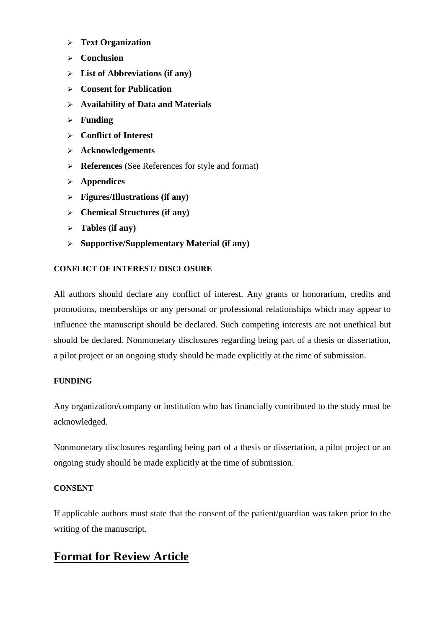- ➢ **Text Organization**
- ➢ **Conclusion**
- ➢ **List of Abbreviations (if any)**
- ➢ **Consent for Publication**
- ➢ **Availability of Data and Materials**
- ➢ **Funding**
- ➢ **Conflict of Interest**
- ➢ **Acknowledgements**
- ➢ **References** (See References for style and format)
- ➢ **Appendices**
- ➢ **Figures/Illustrations (if any)**
- ➢ **Chemical Structures (if any)**
- ➢ **Tables (if any)**
- ➢ **Supportive/Supplementary Material (if any)**

#### **CONFLICT OF INTEREST/ DISCLOSURE**

All authors should declare any conflict of interest. Any grants or honorarium, credits and promotions, memberships or any personal or professional relationships which may appear to influence the manuscript should be declared. Such competing interests are not unethical but should be declared. Nonmonetary disclosures regarding being part of a thesis or dissertation, a pilot project or an ongoing study should be made explicitly at the time of submission.

#### **FUNDING**

Any organization/company or institution who has financially contributed to the study must be acknowledged.

Nonmonetary disclosures regarding being part of a thesis or dissertation, a pilot project or an ongoing study should be made explicitly at the time of submission.

### **CONSENT**

If applicable authors must state that the consent of the patient/guardian was taken prior to the writing of the manuscript.

### **Format for Review Article**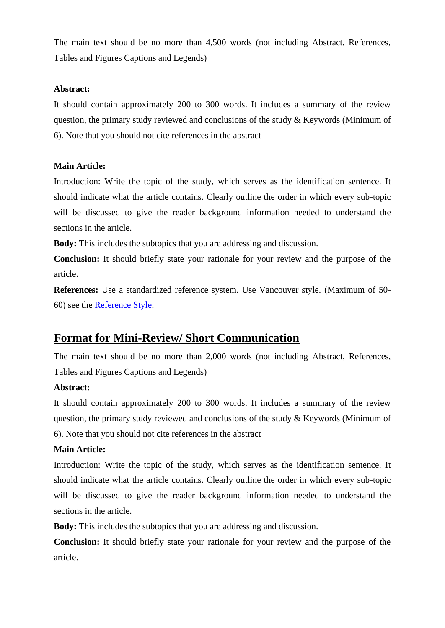The main text should be no more than 4,500 words (not including Abstract, References, Tables and Figures Captions and Legends)

#### **Abstract:**

It should contain approximately 200 to 300 words. It includes a summary of the review question, the primary study reviewed and conclusions of the study  $\&$  Keywords (Minimum of 6). Note that you should not cite references in the abstract

#### **Main Article:**

Introduction: Write the topic of the study, which serves as the identification sentence. It should indicate what the article contains. Clearly outline the order in which every sub-topic will be discussed to give the reader background information needed to understand the sections in the article.

**Body:** This includes the subtopics that you are addressing and discussion.

**Conclusion:** It should briefly state your rationale for your review and the purpose of the article.

**References:** Use a standardized reference system. Use Vancouver style. (Maximum of 50- 60) see the [Reference Style.](Journal%20Summary.docx)

### **Format for Mini-Review/ Short Communication**

The main text should be no more than 2,000 words (not including Abstract, References, Tables and Figures Captions and Legends)

### **Abstract:**

It should contain approximately 200 to 300 words. It includes a summary of the review question, the primary study reviewed and conclusions of the study & Keywords (Minimum of 6). Note that you should not cite references in the abstract

### **Main Article:**

Introduction: Write the topic of the study, which serves as the identification sentence. It should indicate what the article contains. Clearly outline the order in which every sub-topic will be discussed to give the reader background information needed to understand the sections in the article.

**Body:** This includes the subtopics that you are addressing and discussion.

**Conclusion:** It should briefly state your rationale for your review and the purpose of the article.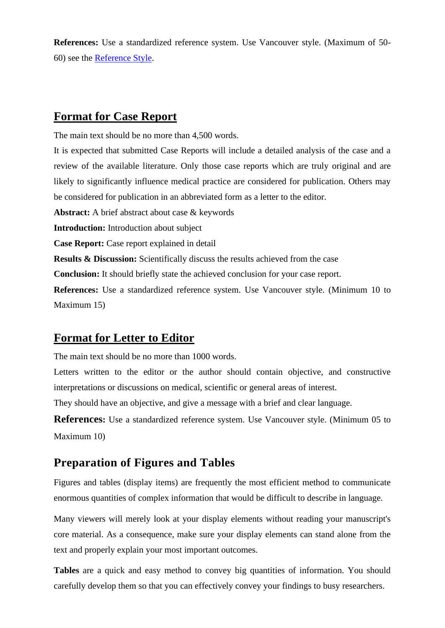**References:** Use a standardized reference system. Use Vancouver style. (Maximum of 50- 60) see the [Reference Style.](Journal%20Summary.docx)

### **Format for Case Report**

The main text should be no more than 4,500 words.

It is expected that submitted Case Reports will include a detailed analysis of the case and a review of the available literature. Only those case reports which are truly original and are likely to significantly influence medical practice are considered for publication. Others may be considered for publication in an abbreviated form as a letter to the editor.

**Abstract:** A brief abstract about case & keywords

**Introduction:** Introduction about subject

**Case Report:** Case report explained in detail

**Results & Discussion:** Scientifically discuss the results achieved from the case

**Conclusion:** It should briefly state the achieved conclusion for your case report.

**References:** Use a standardized reference system. Use Vancouver style. (Minimum 10 to Maximum 15)

### **Format for Letter to Editor**

The main text should be no more than 1000 words.

Letters written to the editor or the author should contain objective, and constructive interpretations or discussions on medical, scientific or general areas of interest.

They should have an objective, and give a message with a brief and clear language.

**References:** Use a standardized reference system. Use Vancouver style. (Minimum 05 to Maximum 10)

### **Preparation of Figures and Tables**

Figures and tables (display items) are frequently the most efficient method to communicate enormous quantities of complex information that would be difficult to describe in language.

Many viewers will merely look at your display elements without reading your manuscript's core material. As a consequence, make sure your display elements can stand alone from the text and properly explain your most important outcomes.

**Tables** are a quick and easy method to convey big quantities of information. You should carefully develop them so that you can effectively convey your findings to busy researchers.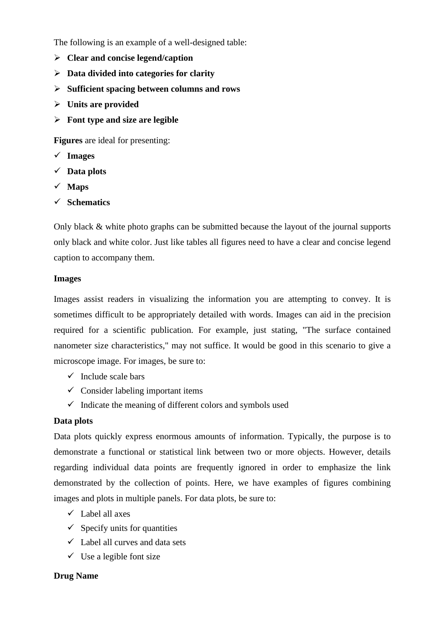The following is an example of a well-designed table:

- ➢ **Clear and concise legend/caption**
- ➢ **Data divided into categories for clarity**
- ➢ **Sufficient spacing between columns and rows**
- ➢ **Units are provided**
- ➢ **Font type and size are legible**

**Figures** are ideal for presenting:

- ✓ **Images**
- ✓ **Data plots**
- ✓ **Maps**
- ✓ **Schematics**

Only black & white photo graphs can be submitted because the layout of the journal supports only black and white color. Just like tables all figures need to have a clear and concise legend caption to accompany them.

#### **Images**

Images assist readers in visualizing the information you are attempting to convey. It is sometimes difficult to be appropriately detailed with words. Images can aid in the precision required for a scientific publication. For example, just stating, "The surface contained nanometer size characteristics," may not suffice. It would be good in this scenario to give a microscope image. For images, be sure to:

- $\checkmark$  Include scale bars
- $\checkmark$  Consider labeling important items
- $\checkmark$  Indicate the meaning of different colors and symbols used

#### **Data plots**

Data plots quickly express enormous amounts of information. Typically, the purpose is to demonstrate a functional or statistical link between two or more objects. However, details regarding individual data points are frequently ignored in order to emphasize the link demonstrated by the collection of points. Here, we have examples of figures combining images and plots in multiple panels. For data plots, be sure to:

- $\checkmark$  Label all axes
- $\checkmark$  Specify units for quantities
- $\checkmark$  Label all curves and data sets
- $\checkmark$  Use a legible font size

#### **Drug Name**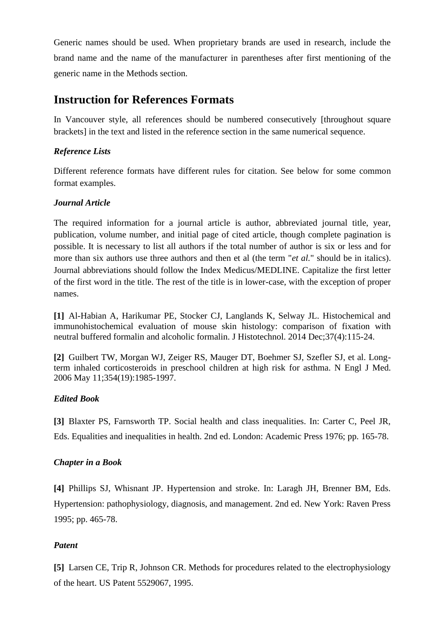Generic names should be used. When proprietary brands are used in research, include the brand name and the name of the manufacturer in parentheses after first mentioning of the generic name in the Methods section.

### **Instruction for References Formats**

In Vancouver style, all references should be numbered consecutively [throughout square brackets] in the text and listed in the reference section in the same numerical sequence.

### *Reference Lists*

Different reference formats have different rules for citation. See below for some common format examples.

### *Journal Article*

The required information for a journal article is author, abbreviated journal title, year, publication, volume number, and initial page of cited article, though complete pagination is possible. It is necessary to list all authors if the total number of author is six or less and for more than six authors use three authors and then et al (the term "*et al.*" should be in italics). Journal abbreviations should follow the Index Medicus/MEDLINE. Capitalize the first letter of the first word in the title. The rest of the title is in lower-case, with the exception of proper names.

**[1]** Al-Habian A, Harikumar PE, Stocker CJ, Langlands K, Selway JL. Histochemical and immunohistochemical evaluation of mouse skin histology: comparison of fixation with neutral buffered formalin and alcoholic formalin. J Histotechnol. 2014 Dec;37(4):115-24.

**[2]** Guilbert TW, Morgan WJ, Zeiger RS, Mauger DT, Boehmer SJ, Szefler SJ, et al. Longterm inhaled corticosteroids in preschool children at high risk for asthma. N Engl J Med. 2006 May 11;354(19):1985-1997.

### *Edited Book*

**[3]** Blaxter PS, Farnsworth TP. Social health and class inequalities. In: Carter C, Peel JR, Eds. Equalities and inequalities in health. 2nd ed. London: Academic Press 1976; pp. 165-78.

### *Chapter in a Book*

**[4]** Phillips SJ, Whisnant JP. Hypertension and stroke. In: Laragh JH, Brenner BM, Eds. Hypertension: pathophysiology, diagnosis, and management. 2nd ed. New York: Raven Press 1995; pp. 465-78.

### *Patent*

**[5]** Larsen CE, Trip R, Johnson CR. Methods for procedures related to the electrophysiology of the heart. US Patent 5529067, 1995.